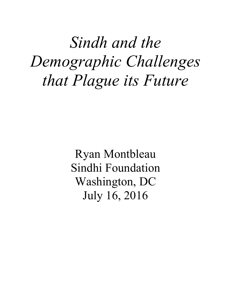# *Sindh and the Demographic Challenges that Plague its Future*

Ryan Montbleau Sindhi Foundation Washington, DC July 16, 2016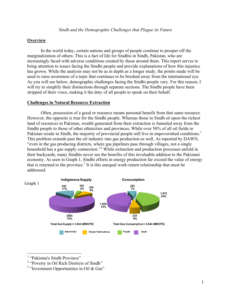## **Overview**

In the world today, certain nations and groups of people continue to prosper off the marginalization of others. This is a fact of life for Sindhis in Sindh, Pakistan, who are increasingly faced with adverse conditions created by those around them. This report serves to bring attention to issues facing the Sindhi people and provide explanations of how this injustice has grown. While the analysis may not be as in depth as a longer study, the points made will be used to raise awareness of a topic that continues to be brushed away from the international eye. As you will see below, demographic challenges facing the Sindhi people vary. For this reason, I will try to simplify their distinctions through separate sections. The Sindhi people have been stripped of their voice, making it the duty of all people to speak on their behalf.

### **Challenges in Natural Resource Extraction**

Often, possession of a good or resource means personal benefit from that same resource. However, the opposite is true for the Sindhi people. Whereas those in Sindh sit upon the richest land of resources in Pakistan, wealth generated from their extraction is funneled away from the Sindhi people to those of other ethnicities and provinces. While over 50% of all oil fields in Pakistan reside in Sindh, the majority of provincial people still live in impoverished conditions.<sup>1</sup> This problem extends past the oil industry into gas production as well. As reported by DAWN, "even in the gas producing districts, where gas pipelines pass through villages, not a single household has a gas supply connection."<sup>2</sup> While extraction and production processes unfold in their backyards, many Sindhis never see the benefits of this invaluable addition to the Pakistani economy. As seen in Graph 1, Sindhi efforts in energy production far exceed the value of energy that is returned to the province.<sup>3</sup> It is this unequal work-return relationship that must be addressed.



<sup>&</sup>lt;sup>1</sup> "Pakistan's Sindh Province"<br>
<sup>2</sup> "Poverty in Oil Rich Districts of Sindh"<br>
<sup>3</sup> "Investment Opportunities in Oil & Gas"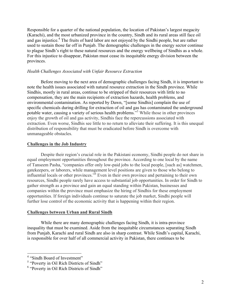Responsible for a quarter of the national population, the location of Pakistan's largest megacity (Karachi), and the most urbanized province in the country, Sindh and its rural areas still face oil and gas injustice.<sup>4</sup> The fruits of hard labor are not enjoyed by the Sindhi people, but are rather used to sustain those far off in Punjab. The demographic challenges in the energy sector continue to plague Sindh's right to these natural resources and the energy wellbeing of Sindhis as a whole. For this injustice to disappear, Pakistan must cease its inequitable energy division between the provinces.

## *Health Challenges Associated with Unfair Resource Extraction*

Before moving to the next area of demographic challenges facing Sindh, it is important to note the health issues associated with natural resource extraction in the Sindh province. While Sindhis, mostly in rural areas, continue to be stripped of their resources with little to no compensation, they are the main recipients of extraction hazards, health problems, and environmental contamination. As reported by Dawn, "[some Sindhis] complain the use of specific chemicals during drilling for extraction of oil and gas has contaminated the underground potable water, causing a variety of serious health problems."<sup>5</sup> While those in other provinces enjoy the growth of oil and gas activity, Sindhis face the repercussions associated with extraction. Even worse, Sindhis see little to no return to alleviate their suffering. It is this unequal distribution of responsibility that must be eradicated before Sindh is overcome with unmanageable obstacles.

## **Challenges in the Job Industry**

Despite their region's crucial role in the Pakistani economy, Sindhi people do not share in equal employment opportunities throughout the province. According to one local by the name of Tanseem Pasha, "companies offer only low-paid jobs to the local people, [such as] watchmen, gatekeepers, or laborers, while management level positions are given to those who belong to influential locals or other provinces."<sup>6</sup> Even in their own province and pertaining to their own resources, Sindhi people rarely have access to substantial job opportunities. In order for Sindh to gather strength as a province and gain an equal standing within Pakistan, businesses and companies within the province must emphasize the hiring of Sindhis for these employment opportunities. If foreign individuals continue to saturate the job market, Sindhi people will further lose control of the economic activity that is happening within their region.

### **Challenges between Urban and Rural Sindh**

While there are many demographic challenges facing Sindh, it is intra-province inequality that must be examined. Aside from the inequitable circumstances separating Sindh from Punjab, Karachi and rural Sindh are also in sharp contrast. While Sindh's capital, Karachi, is responsible for over half of all commercial activity in Pakistan, there continues to be

<sup>&</sup>lt;sup>4</sup> "Sindh Board of Investment"<br>
<sup>5</sup> "Poverty in Oil Rich Districts of Sindh"<br>
<sup>6</sup> "Poverty in Oil Rich Districts of Sindh"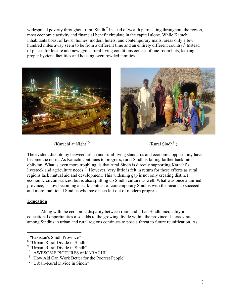widespread poverty throughout rural Sindh.<sup>7</sup> Instead of wealth permeating throughout the region, most economic activity and financial benefit circulate in the capital alone. While Karachi inhabitants boast of lavish homes, modern hotels, and contemporary malls, areas only a few hundred miles away seem to be from a different time and an entirely different country.<sup>8</sup> Instead of places for leisure and new gyms, rural living conditions consist of one-room huts, lacking proper hygiene facilities and housing overcrowded families.<sup>9</sup>





 $(Karachi at Night<sup>10</sup>)$  (Rural Sindh<sup>11</sup>)



The evident dichotomy between urban and rural living standards and economic opportunity have become the norm. As Karachi continues to progress, rural Sindh is falling farther back into oblivion. What is even more troubling, is that rural Sindh is directly supporting Karachi's livestock and agriculture needs.<sup>12</sup> However, very little is felt in return for these efforts as rural regions lack mutual aid and development. This widening gap is not only creating distinct economic circumstances, but is also splitting up Sindhi culture as well. What was once a unified province, is now becoming a stark contrast of contemporary Sindhis with the means to succeed and more traditional Sindhis who have been left out of modern progress.

# **Education**

Along with the economic disparity between rural and urban Sindh, inequality in educational opportunities also adds to the growing divide within the province. Literacy rate among Sindhis in urban and rural regions continues to pose a threat to future reunification. As

<sup>&</sup>lt;sup>7</sup> "Pakistan's Sindh Province"<br><sup>8</sup> "Urban–Rural Divide in Sindh"<br><sup>9</sup> "Urban–Rural Divide in Sindh"<br><sup>10</sup> "AWESOME PICTURES of KARACHI" 11 "How Aid Can Work Better for the Poorest People"

<sup>&</sup>lt;sup>12</sup> "Urban–Rural Divide in Sindh"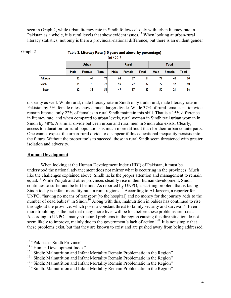seen in Graph 2, while urban literacy rate in Sindh follows closely with urban literacy rate in Pakistan as a whole, it is rural levels that show evident issues.<sup>13</sup> When looking at urban-rural literacy statistics, not only is there a provincial-national difference, but there is an evident gender

| ZUIZ-ZUIS    |              |               |              |              |               |              |              |               |       |
|--------------|--------------|---------------|--------------|--------------|---------------|--------------|--------------|---------------|-------|
|              | <b>Urban</b> |               |              | <b>Rural</b> |               |              | <b>Total</b> |               |       |
|              | <b>Male</b>  | <b>Female</b> | <b>Total</b> | <b>Male</b>  | <b>Female</b> | <b>Total</b> | <b>Male</b>  | <b>Female</b> | Total |
| Pakistan     | 82           | 69            | 76           | 64           | 37            | 51           | 71           | 48            | 60    |
| Sindh        | 84           | 70            | 77           | 59           | 22            | 42           | 72           | 47            | 60    |
| <b>Badin</b> | 62           | 38            | 51           | 47           | 17            | 33           | 50           | 21            | 36    |

## Table 2. Literacy Rate (10 years and above, by percentage)

disparity as well. While rural, male literacy rate in Sindh only trails rural, male literacy rate in Pakistan by 5%, female rates show a much larger divide. While 37% of rural females nationwide remain literate, only 22% of females in rural Sindh maintain this skill. That is a 15% difference in literacy rate, and when compared to urban levels, rural woman in Sindh trail urban woman in Sindh by 48%. A similar divide between urban and rural men in Sindh also exists. Clearly, access to education for rural populations is much more difficult than for their urban counterparts. One cannot expect the urban-rural divide to disappear if this educational inequality persists into the future. Without the proper tools to succeed, those in rural Sindh seem threatened with greater isolation and adversity.

## **Human Development**

Graph 2

When looking at the Human Development Index (HDI) of Pakistan, it must be understood the national advancement does not mirror what is occurring in the provinces. Much like the challenges explained above, Sindh lacks the proper attention and management to remain equal.<sup>14</sup> While Punjab and other provinces steadily rise in their human development, Sindh continues to suffer and be left behind. As reported by UNPO, a startling problem that is facing Sindh today is infant mortality rate in rural regions.<sup>15</sup> According to Al-Jazeera, a reporter for UNPO, "having no means of transport [to the hospital] and no money for the journey adds to the number of dead babies" in Sindh.<sup>16</sup> Along with this, malnutrition in babies has continued to rise throughout the province, which poses a constant threat to family security and survival.<sup>17</sup> Even more troubling, is the fact that many more lives will be lost before these problems are fixed. According to UNPO, "many structural problems in the region causing this dire situation do not seem likely to improve, mainly due to the government's lack of action."<sup>18</sup> It is not simply that these problems exist, but that they are known to exist and are pushed away from being addressed.

<sup>&</sup>lt;sup>13</sup> "Pakistan's Sindh Province"<br><sup>14</sup> "Human Development Index"<br><sup>15</sup> "Sindh: Malnutrition and Infant Mortality Remain Problematic in the Region"

<sup>&</sup>lt;sup>16</sup> "Sindh: Malnutrition and Infant Mortality Remain Problematic in the Region"

<sup>&</sup>lt;sup>17</sup> "Sindh: Malnutrition and Infant Mortality Remain Problematic in the Region"

<sup>&</sup>lt;sup>18</sup> "Sindh: Malnutrition and Infant Mortality Remain Problematic in the Region"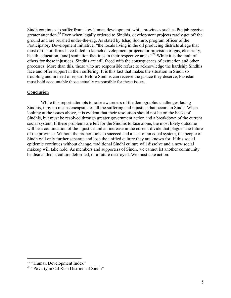Sindh continues to suffer from slow human development, while provinces such as Punjab receive greater attention.<sup>19</sup> Even when legally ordered to Sindhis, development projects rarely get off the ground and are brushed under-the-rug. As stated by Ishaq Soomro, program officer of the Participatory Development Initiative, "the locals living in the oil producing districts allege that most of the oil firms have failed to launch development projects for provision of gas, electricity, health, education, [and] sanitation facilities in their respective areas.<sup>520</sup> While it is the fault of others for these injustices, Sindhis are still faced with the consequences of extraction and other processes. More than this, those who are responsible refuse to acknowledge the hardship Sindhis face and offer support in their suffering. It is this fact that makes the situation in Sindh so troubling and in need of repair. Before Sindhis can receive the justice they deserve, Pakistan must hold accountable those actually responsible for these issues.

## **Conclusion**

While this report attempts to raise awareness of the demographic challenges facing Sindhis, it by no means encapsulates all the suffering and injustice that occurs in Sindh. When looking at the issues above, it is evident that their resolution should not lie on the backs of Sindhis, but must be resolved through greater government action and a breakdown of the current social system. If these problems are left for the Sindhis to face alone, the most likely outcome will be a continuation of the injustice and an increase in the current divide that plagues the future of the province. Without the proper tools to succeed and a lack of an equal system, the people of Sindh will only further separate and lose the unified culture they are known for. If this social epidemic continues without change, traditional Sindhi culture will dissolve and a new social makeup will take hold. As members and supporters of Sindh, we cannot let another community be dismantled, a culture deformed, or a future destroyed. We must take action.

<sup>&</sup>lt;sup>19</sup> "Human Development Index"<br><sup>20</sup> "Poverty in Oil Rich Districts of Sindh"